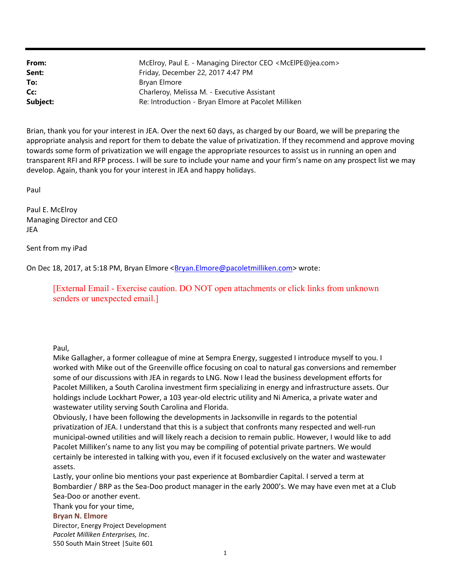| From:    | McElroy, Paul E. - Managing Director CEO <mcelpe@jea.com></mcelpe@jea.com> |
|----------|----------------------------------------------------------------------------|
| Sent:    | Friday, December 22, 2017 4:47 PM                                          |
| To:      | Bryan Elmore                                                               |
| Cc:      | Charleroy, Melissa M. - Executive Assistant                                |
| Subject: | Re: Introduction - Bryan Elmore at Pacolet Milliken                        |

Brian, thank you for your interest in JEA. Over the next 60 days, as charged by our Board, we will be preparing the appropriate analysis and report for them to debate the value of privatization. If they recommend and approve moving towards some form of privatization we will engage the appropriate resources to assist us in running an open and transparent RFI and RFP process. I will be sure to include your name and your firm's name on any prospect list we may develop. Again, thank you for your interest in JEA and happy holidays.

Paul

Paul E. McElroy Managing Director and CEO JEA

Sent from my iPad

On Dec 18, 2017, at 5:18 PM, Bryan Elmore <Bryan.Elmore@pacoletmilliken.com> wrote:

[External Email - Exercise caution. DO NOT open attachments or click links from unknown senders or unexpected email.]

Paul,

Mike Gallagher, a former colleague of mine at Sempra Energy, suggested I introduce myself to you. I worked with Mike out of the Greenville office focusing on coal to natural gas conversions and remember some of our discussions with JEA in regards to LNG. Now I lead the business development efforts for Pacolet Milliken, a South Carolina investment firm specializing in energy and infrastructure assets. Our holdings include Lockhart Power, a 103 year-old electric utility and Ni America, a private water and wastewater utility serving South Carolina and Florida.

Obviously, I have been following the developments in Jacksonville in regards to the potential privatization of JEA. I understand that this is a subject that confronts many respected and well-run municipal-owned utilities and will likely reach a decision to remain public. However, I would like to add Pacolet Milliken's name to any list you may be compiling of potential private partners. We would certainly be interested in talking with you, even if it focused exclusively on the water and wastewater assets.

Lastly, your online bio mentions your past experience at Bombardier Capital. I served a term at Bombardier / BRP as the Sea-Doo product manager in the early 2000's. We may have even met at a Club Sea-Doo or another event.

Thank you for your time,

## Bryan N. Elmore

Director, Energy Project Development Pacolet Milliken Enterprises, Inc. 550 South Main Street |Suite 601